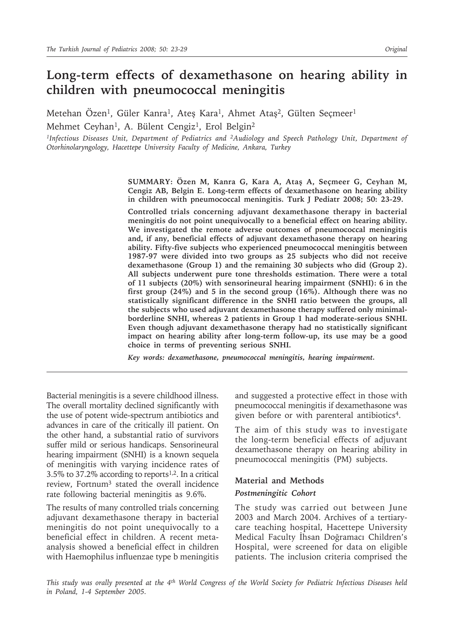# **Long-term effects of dexamethasone on hearing ability in children with pneumococcal meningitis**

Metehan Özen<sup>1</sup>, Güler Kanra<sup>1</sup>, Ateş Kara<sup>1</sup>, Ahmet Ataş<sup>2</sup>, Gülten Seçmeer<sup>1</sup> Mehmet Ceyhan<sup>1</sup>, A. Bülent Cengiz<sup>1</sup>, Erol Belgin<sup>2</sup>

*1Infectious Diseases Unit, Department of Pediatrics and 2Audiology and Speech Pathology Unit, Department of Otorhinolaryngology, Hacettepe University Faculty of Medicine, Ankara, Turkey*

> **SUMMARY: Özen M, Kanra G, Kara A, Ataş A, Seçmeer G, Ceyhan M, Cengiz AB, Belgin E. Long-term effects of dexamethasone on hearing ability in children with pneumococcal meningitis. Turk J Pediatr 2008; 50: 23-29.**

> **Controlled trials concerning adjuvant dexamethasone therapy in bacterial meningitis do not point unequivocally to a beneficial effect on hearing ability. We investigated the remote adverse outcomes of pneumococcal meningitis and, if any, beneficial effects of adjuvant dexamethasone therapy on hearing ability. Fifty-five subjects who experienced pneumococcal meningitis between 1987-97 were divided into two groups as 25 subjects who did not receive dexamethasone (Group 1) and the remaining 30 subjects who did (Group 2). All subjects underwent pure tone thresholds estimation. There were a total of 11 subjects (20%) with sensorineural hearing impairment (SNHI): 6 in the first group (24%) and 5 in the second group (16%). Although there was no statistically significant difference in the SNHI ratio between the groups, all the subjects who used adjuvant dexamethasone therapy suffered only minimalborderline SNHI, whereas 2 patients in Group 1 had moderate-serious SNHI. Even though adjuvant dexamethasone therapy had no statistically significant impact on hearing ability after long-term follow-up, its use may be a good choice in terms of preventing serious SNHI.**

*Key words: dexamethasone, pneumococcal meningitis, hearing impairment.*

Bacterial meningitis is a severe childhood illness. The overall mortality declined significantly with the use of potent wide-spectrum antibiotics and advances in care of the critically ill patient. On the other hand, a substantial ratio of survivors suffer mild or serious handicaps. Sensorineural hearing impairment (SNHI) is a known sequela of meningitis with varying incidence rates of 3.5% to 37.2% according to reports<sup>1,2</sup>. In a critical review, Fortnum3 stated the overall incidence rate following bacterial meningitis as 9.6%.

The results of many controlled trials concerning adjuvant dexamethasone therapy in bacterial meningitis do not point unequivocally to a beneficial effect in children. A recent metaanalysis showed a beneficial effect in children with Haemophilus influenzae type b meningitis

and suggested a protective effect in those with pneumococcal meningitis if dexamethasone was given before or with parenteral antibiotics<sup>4</sup>.

The aim of this study was to investigate the long-term beneficial effects of adjuvant dexamethasone therapy on hearing ability in pneumococcal meningitis (PM) subjects.

# **Material and Methods** *Postmeningitic Cohort*

The study was carried out between June 2003 and March 2004. Archives of a tertiarycare teaching hospital, Hacettepe University Medical Faculty İhsan Doğramacı Children's Hospital, were screened for data on eligible patients. The inclusion criteria comprised the

*This study was orally presented at the 4th World Congress of the World Society for Pediatric Infectious Diseases held in Poland, 1-4 September 2005.*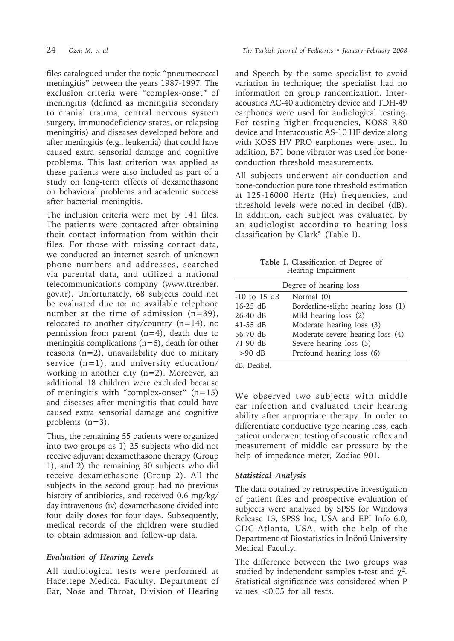files catalogued under the topic "pneumococcal meningitis" between the years 1987-1997. The exclusion criteria were "complex-onset" of meningitis (defined as meningitis secondary to cranial trauma, central nervous system surgery, immunodeficiency states, or relapsing meningitis) and diseases developed before and after meningitis (e.g., leukemia) that could have caused extra sensorial damage and cognitive problems. This last criterion was applied as these patients were also included as part of a study on long-term effects of dexamethasone on behavioral problems and academic success after bacterial meningitis.

The inclusion criteria were met by 141 files. The patients were contacted after obtaining their contact information from within their files. For those with missing contact data, we conducted an internet search of unknown phone numbers and addresses, searched via parental data, and utilized a national telecommunications company (www.ttrehber. gov.tr). Unfortunately, 68 subjects could not be evaluated due to: no available telephone number at the time of admission (n=39), relocated to another city/country (n=14), no permission from parent (n=4), death due to meningitis complications  $(n=6)$ , death for other reasons  $(n=2)$ , unavailability due to military service  $(n=1)$ , and university education/ working in another city (n=2). Moreover, an additional 18 children were excluded because of meningitis with "complex-onset" (n=15) and diseases after meningitis that could have caused extra sensorial damage and cognitive problems (n=3).

Thus, the remaining 55 patients were organized into two groups as 1) 25 subjects who did not receive adjuvant dexamethasone therapy (Group 1), and 2) the remaining 30 subjects who did receive dexamethasone (Group 2). All the subjects in the second group had no previous history of antibiotics, and received 0.6 mg/kg/ day intravenous (iv) dexamethasone divided into four daily doses for four days. Subsequently, medical records of the children were studied to obtain admission and follow-up data.

## *Evaluation of Hearing Levels*

All audiological tests were performed at Hacettepe Medical Faculty, Department of Ear, Nose and Throat, Division of Hearing

and Speech by the same specialist to avoid variation in technique; the specialist had no information on group randomization. Interacoustics AC-40 audiometry device and TDH-49 earphones were used for audiological testing. For testing higher frequencies, KOSS R80 device and Interacoustic AS-10 HF device along with KOSS HV PRO earphones were used. In addition, B71 bone vibrator was used for boneconduction threshold measurements.

All subjects underwent air-conduction and bone-conduction pure tone threshold estimation at 125-16000 Hertz (Hz) frequencies, and threshold levels were noted in decibel (dB). In addition, each subject was evaluated by an audiologist according to hearing loss classification by Clark<sup>5</sup> (Table I).

**Table I.** Classification of Degree of Hearing Impairment

| Degree of hearing loss |                                    |  |  |
|------------------------|------------------------------------|--|--|
| $-10$ to $15$ dB       | Normal (0)                         |  |  |
| $16-25$ dB             | Borderline-slight hearing loss (1) |  |  |
| $26-40$ dB             | Mild hearing loss (2)              |  |  |
| $41-55$ dB             | Moderate hearing loss (3)          |  |  |
| 56-70 dB               | Moderate-severe hearing loss (4)   |  |  |
| 71-90 dB               | Severe hearing loss (5)            |  |  |
| $>90$ dB               | Profound hearing loss (6)          |  |  |
|                        |                                    |  |  |

dB: Decibel.

We observed two subjects with middle ear infection and evaluated their hearing ability after appropriate therapy. In order to differentiate conductive type hearing loss, each patient underwent testing of acoustic reflex and measurement of middle ear pressure by the help of impedance meter, Zodiac 901.

# *Statistical Analysis*

The data obtained by retrospective investigation of patient files and prospective evaluation of subjects were analyzed by SPSS for Windows Release 13, SPSS Inc, USA and EPI Info 6.0, CDC-Atlanta, USA, with the help of the Department of Biostatistics in İnönü University Medical Faculty.

The difference between the two groups was studied by independent samples t-test and  $\chi^2$ . Statistical significance was considered when P values <0.05 for all tests.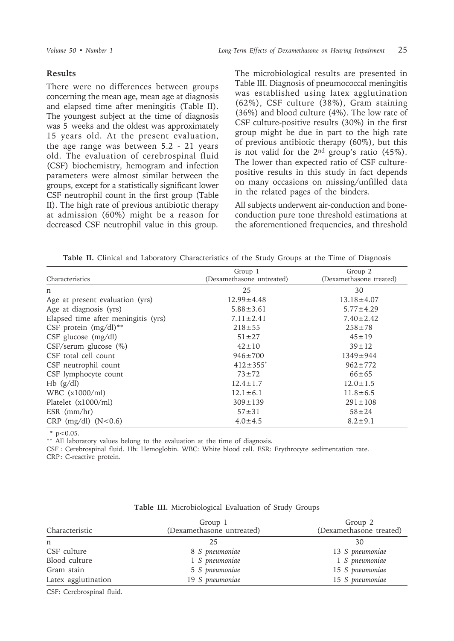#### **Results**

There were no differences between groups concerning the mean age, mean age at diagnosis and elapsed time after meningitis (Table II). The youngest subject at the time of diagnosis was 5 weeks and the oldest was approximately 15 years old. At the present evaluation, the age range was between 5.2 - 21 years old. The evaluation of cerebrospinal fluid (CSF) biochemistry, hemogram and infection parameters were almost similar between the groups, except for a statistically significant lower CSF neutrophil count in the first group (Table II). The high rate of previous antibiotic therapy at admission (60%) might be a reason for decreased CSF neutrophil value in this group.

The microbiological results are presented in Table III. Diagnosis of pneumococcal meningitis was established using latex agglutination (62%), CSF culture (38%), Gram staining (36%) and blood culture (4%). The low rate of CSF culture-positive results (30%) in the first group might be due in part to the high rate of previous antibiotic therapy (60%), but this is not valid for the 2nd group's ratio (45%). The lower than expected ratio of CSF culturepositive results in this study in fact depends on many occasions on missing/unfilled data in the related pages of the binders.

All subjects underwent air-conduction and boneconduction pure tone threshold estimations at the aforementioned frequencies, and threshold

| Table II. Clinical and Laboratory Characteristics of the Study Groups at the Time of Diagnosis |  |
|------------------------------------------------------------------------------------------------|--|
|------------------------------------------------------------------------------------------------|--|

| Group 1                    | Group 2                 |
|----------------------------|-------------------------|
| (Dexamethasone untreated)  | (Dexamethasone treated) |
| 25                         | 30                      |
| $12.99 \pm 4.48$           | $13.18 \pm 4.07$        |
| $5.88 \pm 3.61$            | $5.77 \pm 4.29$         |
| $7.11 \pm 2.41$            | $7.40 \pm 2.42$         |
| $218 + 55$                 | $258 + 78$              |
| $51 \pm 27$                | $45 \pm 19$             |
| $42 \pm 10$                | $39 \pm 12$             |
| $946 \pm 700$              | $1349 \pm 944$          |
| $412 \pm 355$ <sup>*</sup> | $962 \pm 772$           |
| $73 + 72$                  | $66 \pm 65$             |
| $12.4 \pm 1.7$             | $12.0 \pm 1.5$          |
| $12.1 \pm 6.1$             | $11.8 \pm 6.5$          |
| $309 \pm 139$              | $291 \pm 108$           |
| $57 + 31$                  | $58 + 24$               |
| $4.0 \pm 4.5$              | $8.2 \pm 9.1$           |
|                            |                         |

 $*$  p<0.05.

\*\* All laboratory values belong to the evaluation at the time of diagnosis.

CSF : Cerebrospinal fluid. Hb: Hemoglobin. WBC: White blood cell. ESR: Erythrocyte sedimentation rate. CRP: C-reactive protein.

| Characteristic      | Group 1<br>(Dexamethasone untreated) | Group 2<br>(Dexamethasone treated) |  |
|---------------------|--------------------------------------|------------------------------------|--|
| n                   | 25                                   | 30                                 |  |
| CSF culture         | 8 S pneumoniae                       | 13 S pneumoniae                    |  |
| Blood culture       | 1 S pneumoniae                       | 1 S pneumoniae                     |  |
| Gram stain          | 5 S pneumoniae                       | 15 S pneumoniae                    |  |
| Latex agglutination | 19 S pneumoniae                      | 15 S pneumoniae                    |  |

| Table III. Microbiological Evaluation of Study Groups |
|-------------------------------------------------------|
|-------------------------------------------------------|

CSF: Cerebrospinal fluid.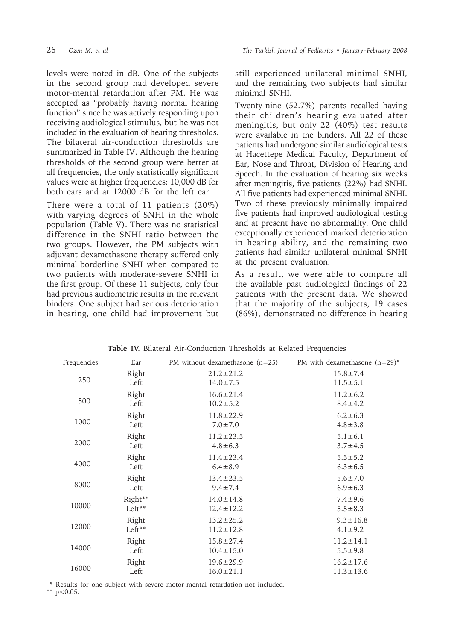levels were noted in dB. One of the subjects in the second group had developed severe motor-mental retardation after PM. He was accepted as "probably having normal hearing function" since he was actively responding upon receiving audiological stimulus, but he was not included in the evaluation of hearing thresholds. The bilateral air-conduction thresholds are summarized in Table IV. Although the hearing thresholds of the second group were better at all frequencies, the only statistically significant values were at higher frequencies: 10,000 dB for both ears and at 12000 dB for the left ear.

There were a total of 11 patients (20%) with varying degrees of SNHI in the whole population (Table V). There was no statistical difference in the SNHI ratio between the two groups. However, the PM subjects with adjuvant dexamethasone therapy suffered only minimal-borderline SNHI when compared to two patients with moderate-severe SNHI in the first group. Of these 11 subjects, only four had previous audiometric results in the relevant binders. One subject had serious deterioration in hearing, one child had improvement but still experienced unilateral minimal SNHI, and the remaining two subjects had similar minimal SNHI.

Twenty-nine (52.7%) parents recalled having their children's hearing evaluated after meningitis, but only 22 (40%) test results were available in the binders. All 22 of these patients had undergone similar audiological tests at Hacettepe Medical Faculty, Department of Ear, Nose and Throat, Division of Hearing and Speech. In the evaluation of hearing six weeks after meningitis, five patients (22%) had SNHI. All five patients had experienced minimal SNHI. Two of these previously minimally impaired five patients had improved audiological testing and at present have no abnormality. One child exceptionally experienced marked deterioration in hearing ability, and the remaining two patients had similar unilateral minimal SNHI at the present evaluation.

As a result, we were able to compare all the available past audiological findings of 22 patients with the present data. We showed that the majority of the subjects, 19 cases (86%), demonstrated no difference in hearing

| Frequencies | Ear      | PM without dexamethasone $(n=25)$ | PM with dexamethasone $(n=29)^*$ |  |
|-------------|----------|-----------------------------------|----------------------------------|--|
| 250         | Right    | $21.2 \pm 21.2$                   | $15.8 \pm 7.4$                   |  |
|             | Left     | $14.0 \pm 7.5$                    | $11.5 \pm 5.1$                   |  |
| 500         | Right    | $16.6 \pm 21.4$                   | $11.2 \pm 6.2$                   |  |
|             | Left     | $10.2 \pm 5.2$                    | $8.4 \pm 4.2$                    |  |
| 1000        | Right    | $11.8 \pm 22.9$                   | $6.2 \pm 6.3$                    |  |
|             | Left     | $7.0 \pm 7.0$                     | $4.8 \pm 3.8$                    |  |
| 2000        | Right    | $11.2 \pm 23.5$                   | $5.1 \pm 6.1$                    |  |
|             | Left     | $4.8 \pm 6.3$                     | $3.7 \pm 4.5$                    |  |
| 4000        | Right    | $11.4 \pm 23.4$                   | $5.5 \pm 5.2$                    |  |
|             | Left     | $6.4 \pm 8.9$                     | $6.3 \pm 6.5$                    |  |
| 8000        | Right    | $13.4 \pm 23.5$                   | $5.6 \pm 7.0$                    |  |
|             | Left     | $9.4 \pm 7.4$                     | $6.9 \pm 6.3$                    |  |
| 10000       | Right**  | $14.0 \pm 14.8$                   | $7.4 \pm 9.6$                    |  |
|             | Left**   | $12.4 \pm 12.2$                   | $5.5 \pm 8.3$                    |  |
| 12000       | Right    | $13.2 \pm 25.2$                   | $9.3 \pm 16.8$                   |  |
|             | $Left**$ | $11.2 \pm 12.8$                   | $4.1 \pm 9.2$                    |  |
| 14000       | Right    | $15.8 \pm 27.4$                   | $11.2 \pm 14.1$                  |  |
|             | Left     | $10.4 \pm 15.0$                   | $5.5 \pm 9.8$                    |  |
| 16000       | Right    | $19.6 \pm 29.9$                   | $16.2 \pm 17.6$                  |  |
|             | Left     | $16.0 \pm 21.1$                   | $11.3 \pm 13.6$                  |  |

**Table IV.** Bilateral Air-Conduction Thresholds at Related Frequencies

\* Results for one subject with severe motor-mental retardation not included.

\*\*  $p < 0.05$ .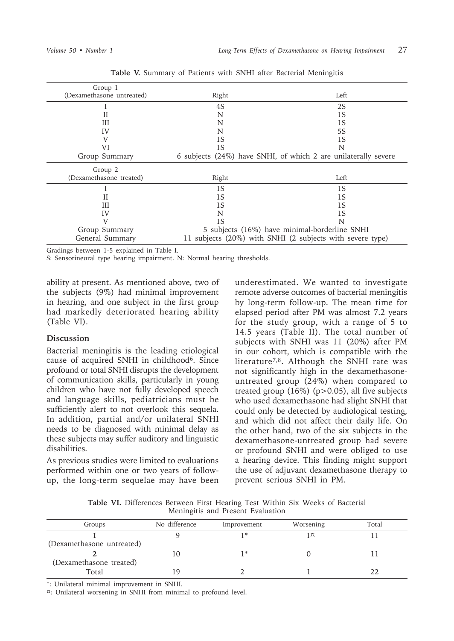| Group 1                   |                                                           |                                                                |  |
|---------------------------|-----------------------------------------------------------|----------------------------------------------------------------|--|
| (Dexamethasone untreated) | Right                                                     | Left                                                           |  |
|                           | 4S                                                        | 2S                                                             |  |
| Н                         | N                                                         | 1S                                                             |  |
| Ш                         | N                                                         | 1S                                                             |  |
| IV                        | N                                                         | 5S                                                             |  |
| V                         | 1S                                                        | 1S                                                             |  |
| VI                        | 1S                                                        | N                                                              |  |
| Group Summary             |                                                           | 6 subjects (24%) have SNHI, of which 2 are unilaterally severe |  |
| Group 2                   |                                                           |                                                                |  |
| (Dexamethasone treated)   | Right                                                     | Left                                                           |  |
|                           | 1S                                                        | 1S                                                             |  |
| Н                         | 1S                                                        | 1S                                                             |  |
| Ш                         | 1S                                                        | 1S                                                             |  |
| IV                        | N                                                         | 1S                                                             |  |
|                           | 1S                                                        | N                                                              |  |
| Group Summary             | 5 subjects (16%) have minimal-borderline SNHI             |                                                                |  |
| General Summary           | 11 subjects (20%) with SNHI (2 subjects with severe type) |                                                                |  |

**Table V.** Summary of Patients with SNHI after Bacterial Meningitis

Gradings between 1-5 explained in Table I.

S: Sensorineural type hearing impairment. N: Normal hearing thresholds.

ability at present. As mentioned above, two of the subjects (9%) had minimal improvement in hearing, and one subject in the first group had markedly deteriorated hearing ability (Table VI).

### **Discussion**

Bacterial meningitis is the leading etiological cause of acquired SNHI in childhood<sup>6</sup>. Since profound or total SNHI disrupts the development of communication skills, particularly in young children who have not fully developed speech and language skills, pediatricians must be sufficiently alert to not overlook this sequela. In addition, partial and/or unilateral SNHI needs to be diagnosed with minimal delay as these subjects may suffer auditory and linguistic disabilities.

As previous studies were limited to evaluations performed within one or two years of followup, the long-term sequelae may have been underestimated. We wanted to investigate remote adverse outcomes of bacterial meningitis by long-term follow-up. The mean time for elapsed period after PM was almost 7.2 years for the study group, with a range of 5 to 14.5 years (Table II). The total number of subjects with SNHI was 11 (20%) after PM in our cohort, which is compatible with the literature<sup>7,8</sup>. Although the SNHI rate was not significantly high in the dexamethasoneuntreated group (24%) when compared to treated group  $(16\%)$  (p>0.05), all five subjects who used dexamethasone had slight SNHI that could only be detected by audiological testing, and which did not affect their daily life. On the other hand, two of the six subjects in the dexamethasone-untreated group had severe or profound SNHI and were obliged to use a hearing device. This finding might support the use of adjuvant dexamethasone therapy to prevent serious SNHI in PM.

**Table VI.** Differences Between First Hearing Test Within Six Weeks of Bacterial Meningitis and Present Evaluation

| Groups                    | No difference | Improvement | Worsening | Total |
|---------------------------|---------------|-------------|-----------|-------|
|                           |               | *           | 1 ¤       |       |
| (Dexamethasone untreated) |               |             |           |       |
|                           |               | *           |           |       |
| (Dexamethasone treated)   |               |             |           |       |
| Total                     | 1 Q           |             |           |       |

\*: Unilateral minimal improvement in SNHI.

¤: Unilateral worsening in SNHI from minimal to profound level.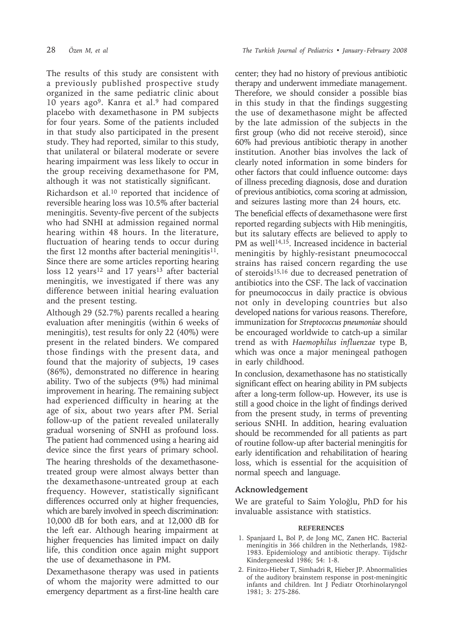The results of this study are consistent with a previously published prospective study organized in the same pediatric clinic about 10 years ago9. Kanra et al.9 had compared placebo with dexamethasone in PM subjects for four years. Some of the patients included in that study also participated in the present study. They had reported, similar to this study, that unilateral or bilateral moderate or severe hearing impairment was less likely to occur in the group receiving dexamethasone for PM, although it was not statistically significant.

Richardson et al.10 reported that incidence of reversible hearing loss was 10.5% after bacterial meningitis. Seventy-five percent of the subjects who had SNHI at admission regained normal hearing within 48 hours. In the literature, fluctuation of hearing tends to occur during the first 12 months after bacterial meningitis $11$ . Since there are some articles reporting hearing loss 12 years<sup>12</sup> and 17 years<sup>13</sup> after bacterial meningitis, we investigated if there was any difference between initial hearing evaluation and the present testing.

Although 29 (52.7%) parents recalled a hearing evaluation after meningitis (within 6 weeks of meningitis), test results for only 22 (40%) were present in the related binders. We compared those findings with the present data, and found that the majority of subjects, 19 cases (86%), demonstrated no difference in hearing ability. Two of the subjects (9%) had minimal improvement in hearing. The remaining subject had experienced difficulty in hearing at the age of six, about two years after PM. Serial follow-up of the patient revealed unilaterally gradual worsening of SNHI as profound loss. The patient had commenced using a hearing aid device since the first years of primary school.

The hearing thresholds of the dexamethasonetreated group were almost always better than the dexamethasone-untreated group at each frequency. However, statistically significant differences occurred only at higher frequencies, which are barely involved in speech discrimination: 10,000 dB for both ears, and at 12,000 dB for the left ear. Although hearing impairment at higher frequencies has limited impact on daily life, this condition once again might support the use of dexamethasone in PM.

Dexamethasone therapy was used in patients of whom the majority were admitted to our emergency department as a first-line health care center; they had no history of previous antibiotic therapy and underwent immediate management. Therefore, we should consider a possible bias in this study in that the findings suggesting the use of dexamethasone might be affected by the late admission of the subjects in the first group (who did not receive steroid), since 60% had previous antibiotic therapy in another institution. Another bias involves the lack of clearly noted information in some binders for other factors that could influence outcome: days of illness preceding diagnosis, dose and duration of previous antibiotics, coma scoring at admission, and seizures lasting more than 24 hours, etc.

The beneficial effects of dexamethasone were first reported regarding subjects with Hib meningitis, but its salutary effects are believed to apply to PM as well<sup>14,15</sup>. Increased incidence in bacterial meningitis by highly-resistant pneumococcal strains has raised concern regarding the use of steroids15,16 due to decreased penetration of antibiotics into the CSF. The lack of vaccination for pneumococcus in daily practice is obvious not only in developing countries but also developed nations for various reasons. Therefore, immunization for *Streptococcus pneumoniae* should be encouraged worldwide to catch-up a similar trend as with *Haemophilus influenzae* type B, which was once a major meningeal pathogen in early childhood.

In conclusion, dexamethasone has no statistically significant effect on hearing ability in PM subjects after a long-term follow-up. However, its use is still a good choice in the light of findings derived from the present study, in terms of preventing serious SNHI. In addition, hearing evaluation should be recommended for all patients as part of routine follow-up after bacterial meningitis for early identification and rehabilitation of hearing loss, which is essential for the acquisition of normal speech and language.

# **Acknowledgement**

We are grateful to Saim Yoloğlu, PhD for his invaluable assistance with statistics.

## **REFERENCES**

- 1. Spanjaard L, Bol P, de Jong MC, Zanen HC. Bacterial meningitis in 366 children in the Netherlands, 1982- 1983. Epidemiology and antibiotic therapy. Tijdschr Kindergeneeskd 1986; 54: 1-8.
- 2. Finitzo-Hieber T, Simhadri R, Hieber JP. Abnormalities of the auditory brainstem response in post-meningitic infants and children. Int J Pediatr Otorhinolaryngol 1981; 3: 275-286.